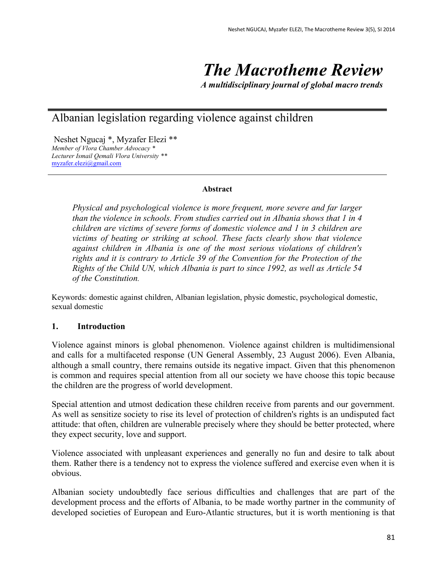# *The Macrotheme Review*

*A multidisciplinary journal of global macro trends*

# Albanian legislation regarding violence against children

Neshet Ngucaj \*, Myzafer Elezi \*\* *Member of Vlora Chamber Advocacy \* Lecturer Ismail Qemali Vlora University \*\** [myzafer.elezi@gmail.com](mailto:myzafer.elezi@gmail.com)

#### **Abstract**

*Physical and psychological violence is more frequent, more severe and far larger than the violence in schools. From studies carried out in Albania shows that 1 in 4 children are victims of severe forms of domestic violence and 1 in 3 children are victims of beating or striking at school. These facts clearly show that violence against children in Albania is one of the most serious violations of children's rights and it is contrary to Article 39 of the Convention for the Protection of the Rights of the Child UN, which Albania is part to since 1992, as well as Article 54 of the Constitution.*

Keywords: domestic against children, Albanian legislation, physic domestic, psychological domestic, sexual domestic

#### **1. Introduction**

Violence against minors is global phenomenon. Violence against children is multidimensional and calls for a multifaceted response (UN General Assembly, 23 August 2006). Even Albania, although a small country, there remains outside its negative impact. Given that this phenomenon is common and requires special attention from all our society we have choose this topic because the children are the progress of world development.

Special attention and utmost dedication these children receive from parents and our government. As well as sensitize society to rise its level of protection of children's rights is an undisputed fact attitude: that often, children are vulnerable precisely where they should be better protected, where they expect security, love and support.

Violence associated with unpleasant experiences and generally no fun and desire to talk about them. Rather there is a tendency not to express the violence suffered and exercise even when it is obvious.

Albanian society undoubtedly face serious difficulties and challenges that are part of the development process and the efforts of Albania, to be made worthy partner in the community of developed societies of European and Euro-Atlantic structures, but it is worth mentioning is that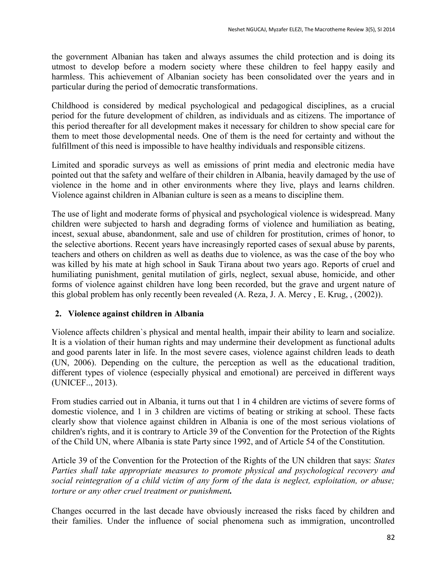the government Albanian has taken and always assumes the child protection and is doing its utmost to develop before a modern society where these children to feel happy easily and harmless. This achievement of Albanian society has been consolidated over the years and in particular during the period of democratic transformations.

Childhood is considered by medical psychological and pedagogical disciplines, as a crucial period for the future development of children, as individuals and as citizens. The importance of this period thereafter for all development makes it necessary for children to show special care for them to meet those developmental needs. One of them is the need for certainty and without the fulfillment of this need is impossible to have healthy individuals and responsible citizens.

Limited and sporadic surveys as well as emissions of print media and electronic media have pointed out that the safety and welfare of their children in Albania, heavily damaged by the use of violence in the home and in other environments where they live, plays and learns children. Violence against children in Albanian culture is seen as a means to discipline them.

The use of light and moderate forms of physical and psychological violence is widespread. Many children were subjected to harsh and degrading forms of violence and humiliation as beating, incest, sexual abuse, abandonment, sale and use of children for prostitution, crimes of honor, to the selective abortions. Recent years have increasingly reported cases of sexual abuse by parents, teachers and others on children as well as deaths due to violence, as was the case of the boy who was killed by his mate at high school in Sauk Tirana about two years ago. Reports of cruel and humiliating punishment, genital mutilation of girls, neglect, sexual abuse, homicide, and other forms of violence against children have long been recorded, but the grave and urgent nature of this global problem has only recently been revealed (A. Reza, J. A. Mercy , E. Krug, , (2002)).

## **2. Violence against children in Albania**

Violence affects children`s physical and mental health, impair their ability to learn and socialize. It is a violation of their human rights and may undermine their development as functional adults and good parents later in life. In the most severe cases, violence against children leads to death (UN, 2006). Depending on the culture, the perception as well as the educational tradition, different types of violence (especially physical and emotional) are perceived in different ways (UNICEF.., 2013).

From studies carried out in Albania, it turns out that 1 in 4 children are victims of severe forms of domestic violence, and 1 in 3 children are victims of beating or striking at school. These facts clearly show that violence against children in Albania is one of the most serious violations of children's rights, and it is contrary to Article 39 of the Convention for the Protection of the Rights of the Child UN, where Albania is state Party since 1992, and of Article 54 of the Constitution.

Article 39 of the Convention for the Protection of the Rights of the UN children that says: *States Parties shall take appropriate measures to promote physical and psychological recovery and social reintegration of a child victim of any form of the data is neglect, exploitation, or abuse; torture or any other cruel treatment or punishment.*

Changes occurred in the last decade have obviously increased the risks faced by children and their families. Under the influence of social phenomena such as immigration, uncontrolled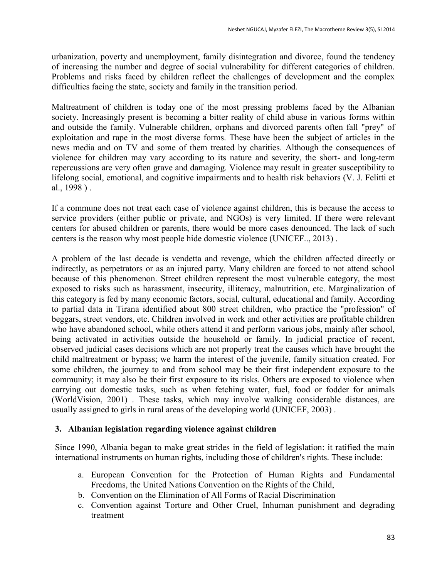urbanization, poverty and unemployment, family disintegration and divorce, found the tendency of increasing the number and degree of social vulnerability for different categories of children. Problems and risks faced by children reflect the challenges of development and the complex difficulties facing the state, society and family in the transition period.

Maltreatment of children is today one of the most pressing problems faced by the Albanian society. Increasingly present is becoming a bitter reality of child abuse in various forms within and outside the family. Vulnerable children, orphans and divorced parents often fall "prey" of exploitation and rape in the most diverse forms. These have been the subject of articles in the news media and on TV and some of them treated by charities. Although the consequences of violence for children may vary according to its nature and severity, the short- and long-term repercussions are very often grave and damaging. Violence may result in greater susceptibility to lifelong social, emotional, and cognitive impairments and to health risk behaviors (V. J. Felitti et al., 1998 ) .

If a commune does not treat each case of violence against children, this is because the access to service providers (either public or private, and NGOs) is very limited. If there were relevant centers for abused children or parents, there would be more cases denounced. The lack of such centers is the reason why most people hide domestic violence (UNICEF.., 2013) .

A problem of the last decade is vendetta and revenge, which the children affected directly or indirectly, as perpetrators or as an injured party. Many children are forced to not attend school because of this phenomenon. Street children represent the most vulnerable category, the most exposed to risks such as harassment, insecurity, illiteracy, malnutrition, etc. Marginalization of this category is fed by many economic factors, social, cultural, educational and family. According to partial data in Tirana identified about 800 street children, who practice the "profession" of beggars, street vendors, etc. Children involved in work and other activities are profitable children who have abandoned school, while others attend it and perform various jobs, mainly after school, being activated in activities outside the household or family. In judicial practice of recent, observed judicial cases decisions which are not properly treat the causes which have brought the child maltreatment or bypass; we harm the interest of the juvenile, family situation created. For some children, the journey to and from school may be their first independent exposure to the community; it may also be their first exposure to its risks. Others are exposed to violence when carrying out domestic tasks, such as when fetching water, fuel, food or fodder for animals (WorldVision, 2001) . These tasks, which may involve walking considerable distances, are usually assigned to girls in rural areas of the developing world (UNICEF, 2003) .

#### **3. Albanian legislation regarding violence against children**

Since 1990, Albania began to make great strides in the field of legislation: it ratified the main international instruments on human rights, including those of children's rights. These include:

- a. European Convention for the Protection of Human Rights and Fundamental Freedoms, the United Nations Convention on the Rights of the Child,
- b. Convention on the Elimination of All Forms of Racial Discrimination
- c. Convention against Torture and Other Cruel, Inhuman punishment and degrading treatment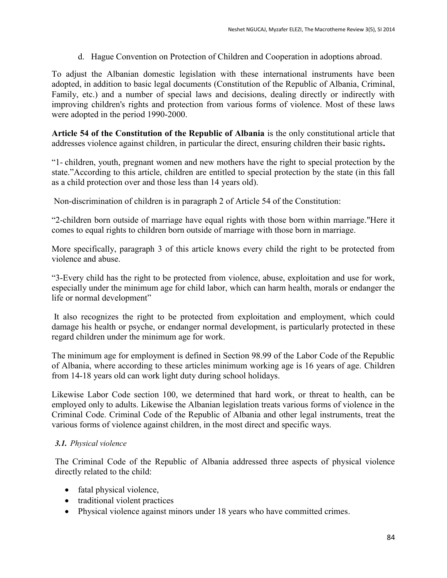d. Hague Convention on Protection of Children and Cooperation in adoptions abroad.

To adjust the Albanian domestic legislation with these international instruments have been adopted, in addition to basic legal documents (Constitution of the Republic of Albania, Criminal, Family, etc.) and a number of special laws and decisions, dealing directly or indirectly with improving children's rights and protection from various forms of violence. Most of these laws were adopted in the period 1990-2000.

**Article 54 of the Constitution of the Republic of Albania** is the only constitutional article that addresses violence against children, in particular the direct, ensuring children their basic rights**.** 

"1- children, youth, pregnant women and new mothers have the right to special protection by the state."According to this article, children are entitled to special protection by the state (in this fall as a child protection over and those less than 14 years old).

Non-discrimination of children is in paragraph 2 of Article 54 of the Constitution:

"2-children born outside of marriage have equal rights with those born within marriage."Here it comes to equal rights to children born outside of marriage with those born in marriage.

More specifically, paragraph 3 of this article knows every child the right to be protected from violence and abuse.

"3-Every child has the right to be protected from violence, abuse, exploitation and use for work, especially under the minimum age for child labor, which can harm health, morals or endanger the life or normal development"

It also recognizes the right to be protected from exploitation and employment, which could damage his health or psyche, or endanger normal development, is particularly protected in these regard children under the minimum age for work.

The minimum age for employment is defined in Section 98.99 of the Labor Code of the Republic of Albania, where according to these articles minimum working age is 16 years of age. Children from 14-18 years old can work light duty during school holidays.

Likewise Labor Code section 100, we determined that hard work, or threat to health, can be employed only to adults. Likewise the Albanian legislation treats various forms of violence in the Criminal Code. Criminal Code of the Republic of Albania and other legal instruments, treat the various forms of violence against children, in the most direct and specific ways.

#### *3.1. Physical violence*

The Criminal Code of the Republic of Albania addressed three aspects of physical violence directly related to the child:

- fatal physical violence,
- traditional violent practices
- Physical violence against minors under 18 years who have committed crimes.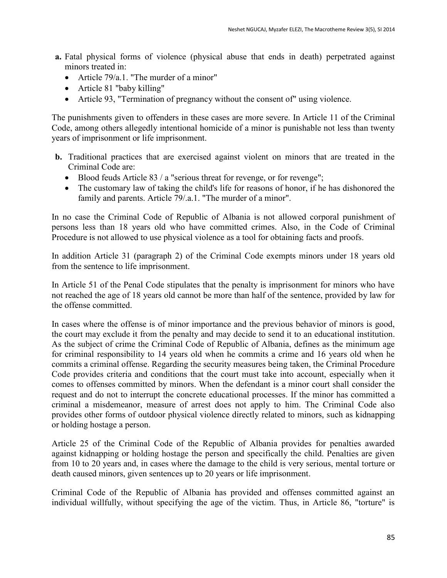- **a.** Fatal physical forms of violence (physical abuse that ends in death) perpetrated against minors treated in:
	- Article 79/a.1. "The murder of a minor"
	- Article 81 "baby killing"
	- Article 93, "Termination of pregnancy without the consent of" using violence.

The punishments given to offenders in these cases are more severe. In Article 11 of the Criminal Code, among others allegedly intentional homicide of a minor is punishable not less than twenty years of imprisonment or life imprisonment.

- **b.** Traditional practices that are exercised against violent on minors that are treated in the Criminal Code are:
	- Blood feuds Article 83 / a "serious threat for revenge, or for revenge";
	- The customary law of taking the child's life for reasons of honor, if he has dishonored the family and parents. Article 79/.a.1. "The murder of a minor".

In no case the Criminal Code of Republic of Albania is not allowed corporal punishment of persons less than 18 years old who have committed crimes. Also, in the Code of Criminal Procedure is not allowed to use physical violence as a tool for obtaining facts and proofs.

In addition Article 31 (paragraph 2) of the Criminal Code exempts minors under 18 years old from the sentence to life imprisonment.

In Article 51 of the Penal Code stipulates that the penalty is imprisonment for minors who have not reached the age of 18 years old cannot be more than half of the sentence, provided by law for the offense committed.

In cases where the offense is of minor importance and the previous behavior of minors is good, the court may exclude it from the penalty and may decide to send it to an educational institution. As the subject of crime the Criminal Code of Republic of Albania, defines as the minimum age for criminal responsibility to 14 years old when he commits a crime and 16 years old when he commits a criminal offense. Regarding the security measures being taken, the Criminal Procedure Code provides criteria and conditions that the court must take into account, especially when it comes to offenses committed by minors. When the defendant is a minor court shall consider the request and do not to interrupt the concrete educational processes. If the minor has committed a criminal a misdemeanor, measure of arrest does not apply to him. The Criminal Code also provides other forms of outdoor physical violence directly related to minors, such as kidnapping or holding hostage a person.

Article 25 of the Criminal Code of the Republic of Albania provides for penalties awarded against kidnapping or holding hostage the person and specifically the child. Penalties are given from 10 to 20 years and, in cases where the damage to the child is very serious, mental torture or death caused minors, given sentences up to 20 years or life imprisonment.

Criminal Code of the Republic of Albania has provided and offenses committed against an individual willfully, without specifying the age of the victim. Thus, in Article 86, "torture" is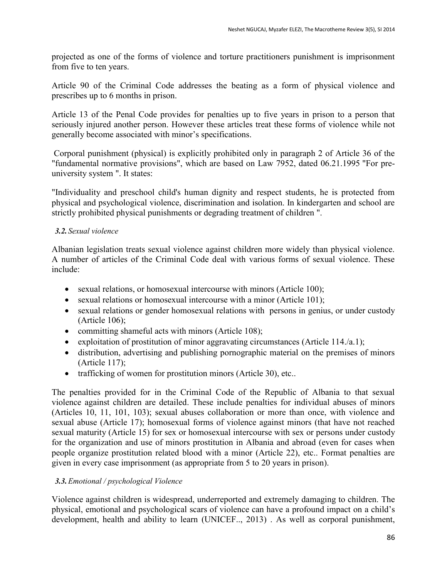projected as one of the forms of violence and torture practitioners punishment is imprisonment from five to ten years.

Article 90 of the Criminal Code addresses the beating as a form of physical violence and prescribes up to 6 months in prison.

Article 13 of the Penal Code provides for penalties up to five years in prison to a person that seriously injured another person. However these articles treat these forms of violence while not generally become associated with minor's specifications.

Corporal punishment (physical) is explicitly prohibited only in paragraph 2 of Article 36 of the "fundamental normative provisions", which are based on Law 7952, dated 06.21.1995 "For preuniversity system ". It states:

"Individuality and preschool child's human dignity and respect students, he is protected from physical and psychological violence, discrimination and isolation. In kindergarten and school are strictly prohibited physical punishments or degrading treatment of children ".

#### *3.2. Sexual violence*

Albanian legislation treats sexual violence against children more widely than physical violence. A number of articles of the Criminal Code deal with various forms of sexual violence. These include:

- sexual relations, or homosexual intercourse with minors (Article 100);
- sexual relations or homosexual intercourse with a minor (Article 101);
- sexual relations or gender homosexual relations with persons in genius, or under custody (Article 106);
- committing shameful acts with minors (Article 108);
- exploitation of prostitution of minor aggravating circumstances (Article 114./a.1);
- distribution, advertising and publishing pornographic material on the premises of minors (Article 117);
- trafficking of women for prostitution minors (Article 30), etc..

The penalties provided for in the Criminal Code of the Republic of Albania to that sexual violence against children are detailed. These include penalties for individual abuses of minors (Articles 10, 11, 101, 103); sexual abuses collaboration or more than once, with violence and sexual abuse (Article 17); homosexual forms of violence against minors (that have not reached sexual maturity (Article 15) for sex or homosexual intercourse with sex or persons under custody for the organization and use of minors prostitution in Albania and abroad (even for cases when people organize prostitution related blood with a minor (Article 22), etc.. Format penalties are given in every case imprisonment (as appropriate from 5 to 20 years in prison).

#### *3.3.Emotional / psychological Violence*

Violence against children is widespread, underreported and extremely damaging to children. The physical, emotional and psychological scars of violence can have a profound impact on a child's development, health and ability to learn (UNICEF.., 2013) . As well as corporal punishment,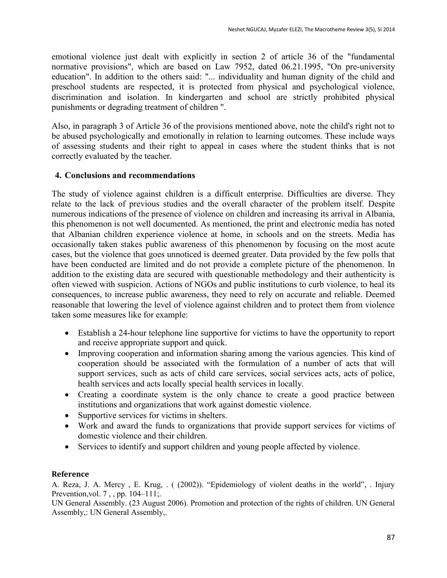emotional violence just dealt with explicitly in section 2 of article 36 of the "fundamental normative provisions", which are based on Law 7952, dated 06.21.1995, "On pre-university education". In addition to the others said: "... individuality and human dignity of the child and preschool students are respected, it is protected from physical and psychological violence, discrimination and isolation. In kindergarten and school are strictly prohibited physical punishments or degrading treatment of children ".

Also, in paragraph 3 of Article 36 of the provisions mentioned above, note the child's right not to be abused psychologically and emotionally in relation to learning outcomes. These include ways of assessing students and their right to appeal in cases where the student thinks that is not correctly evaluated by the teacher.

# **4. Conclusions and recommendations**

The study of violence against children is a difficult enterprise. Difficulties are diverse. They relate to the lack of previous studies and the overall character of the problem itself. Despite numerous indications of the presence of violence on children and increasing its arrival in Albania, this phenomenon is not well documented. As mentioned, the print and electronic media has noted that Albanian children experience violence at home, in schools and on the streets. Media has occasionally taken stakes public awareness of this phenomenon by focusing on the most acute cases, but the violence that goes unnoticed is deemed greater. Data provided by the few polls that have been conducted are limited and do not provide a complete picture of the phenomenon. In addition to the existing data are secured with questionable methodology and their authenticity is often viewed with suspicion. Actions of NGOs and public institutions to curb violence, to heal its consequences, to increase public awareness, they need to rely on accurate and reliable. Deemed reasonable that lowering the level of violence against children and to protect them from violence taken some measures like for example:

- Establish a 24-hour telephone line supportive for victims to have the opportunity to report and receive appropriate support and quick.
- Improving cooperation and information sharing among the various agencies. This kind of cooperation should be associated with the formulation of a number of acts that will support services, such as acts of child care services, social services acts, acts of police, health services and acts locally special health services in locally.
- Creating a coordinate system is the only chance to create a good practice between institutions and organizations that work against domestic violence.
- Supportive services for victims in shelters.
- Work and award the funds to organizations that provide support services for victims of domestic violence and their children.
- Services to identify and support children and young people affected by violence.

## **Reference**

A. Reza, J. A. Mercy , E. Krug, . ( (2002)). "Epidemiology of violent deaths in the world", . Injury Prevention, vol. 7, pp. 104–111;

UN General Assembly. (23 August 2006). Promotion and protection of the rights of children. UN General Assembly,: UN General Assembly,.